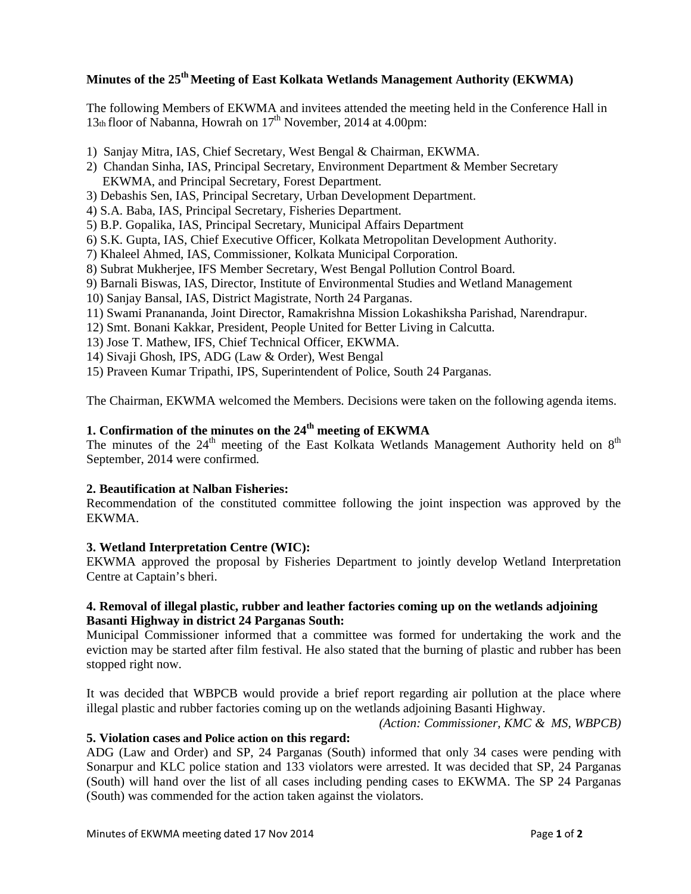# **Minutes of the 25th Meeting of East Kolkata Wetlands Management Authority (EKWMA)**

The following Members of EKWMA and invitees attended the meeting held in the Conference Hall in 13th floor of Nabanna, Howrah on  $17<sup>th</sup>$  November, 2014 at 4.00pm:

- 1) Sanjay Mitra, IAS, Chief Secretary, West Bengal & Chairman, EKWMA.
- 2) Chandan Sinha, IAS, Principal Secretary, Environment Department & Member Secretary EKWMA, and Principal Secretary, Forest Department.
- 3) Debashis Sen, IAS, Principal Secretary, Urban Development Department.
- 4) S.A. Baba, IAS, Principal Secretary, Fisheries Department.
- 5) B.P. Gopalika, IAS, Principal Secretary, Municipal Affairs Department
- 6) S.K. Gupta, IAS, Chief Executive Officer, Kolkata Metropolitan Development Authority.
- 7) Khaleel Ahmed, IAS, Commissioner, Kolkata Municipal Corporation.
- 8) Subrat Mukherjee, IFS Member Secretary, West Bengal Pollution Control Board.
- 9) Barnali Biswas, IAS, Director, Institute of Environmental Studies and Wetland Management
- 10) Sanjay Bansal, IAS, District Magistrate, North 24 Parganas.
- 11) Swami Pranananda, Joint Director, Ramakrishna Mission Lokashiksha Parishad, Narendrapur.
- 12) Smt. Bonani Kakkar, President, People United for Better Living in Calcutta.
- 13) Jose T. Mathew, IFS, Chief Technical Officer, EKWMA.
- 14) Sivaji Ghosh, IPS, ADG (Law & Order), West Bengal
- 15) Praveen Kumar Tripathi, IPS, Superintendent of Police, South 24 Parganas.

The Chairman, EKWMA welcomed the Members. Decisions were taken on the following agenda items.

# **1. Confirmation of the minutes on the 24th meeting of EKWMA**

The minutes of the 24<sup>th</sup> meeting of the East Kolkata Wetlands Management Authority held on 8<sup>th</sup> September, 2014 were confirmed.

#### **2. Beautification at Nalban Fisheries:**

Recommendation of the constituted committee following the joint inspection was approved by the EKWMA.

#### **3. Wetland Interpretation Centre (WIC):**

EKWMA approved the proposal by Fisheries Department to jointly develop Wetland Interpretation Centre at Captain's bheri.

### **4. Removal of illegal plastic, rubber and leather factories coming up on the wetlands adjoining Basanti Highway in district 24 Parganas South:**

Municipal Commissioner informed that a committee was formed for undertaking the work and the eviction may be started after film festival. He also stated that the burning of plastic and rubber has been stopped right now.

It was decided that WBPCB would provide a brief report regarding air pollution at the place where illegal plastic and rubber factories coming up on the wetlands adjoining Basanti Highway.

*(Action: Commissioner, KMC & MS, WBPCB)*

### **5. Violation cases and Police action on this regard:**

ADG (Law and Order) and SP, 24 Parganas (South) informed that only 34 cases were pending with Sonarpur and KLC police station and 133 violators were arrested. It was decided that SP, 24 Parganas (South) will hand over the list of all cases including pending cases to EKWMA. The SP 24 Parganas (South) was commended for the action taken against the violators.